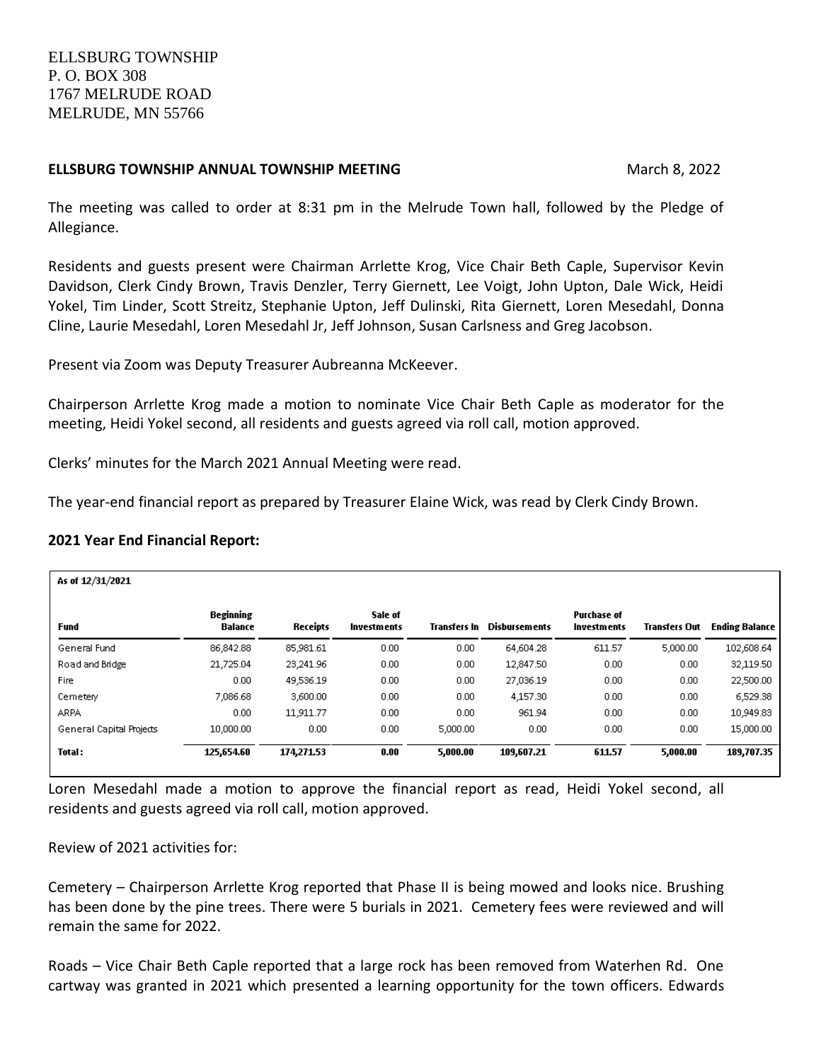## **ELLSBURG TOWNSHIP ANNUAL TOWNSHIP MEETING March 8, 2022** March 8, 2022

The meeting was called to order at 8:31 pm in the Melrude Town hall, followed by the Pledge of Allegiance.

Residents and guests present were Chairman Arrlette Krog, Vice Chair Beth Caple, Supervisor Kevin Davidson, Clerk Cindy Brown, Travis Denzler, Terry Giernett, Lee Voigt, John Upton, Dale Wick, Heidi Yokel, Tim Linder, Scott Streitz, Stephanie Upton, Jeff Dulinski, Rita Giernett, Loren Mesedahl, Donna Cline, Laurie Mesedahl, Loren Mesedahl Jr, Jeff Johnson, Susan Carlsness and Greg Jacobson.

Present via Zoom was Deputy Treasurer Aubreanna McKeever.

Chairperson Arrlette Krog made a motion to nominate Vice Chair Beth Caple as moderator for the meeting, Heidi Yokel second, all residents and guests agreed via roll call, motion approved.

Clerks' minutes for the March 2021 Annual Meeting were read.

The year-end financial report as prepared by Treasurer Elaine Wick, was read by Clerk Cindy Brown.

## **2021 Year End Financial Report:**

| As of $12/31/2021$       |                                    |            |                               |              |                      |                                          |                      |                       |
|--------------------------|------------------------------------|------------|-------------------------------|--------------|----------------------|------------------------------------------|----------------------|-----------------------|
| Fund                     | <b>Beginning</b><br><b>Balance</b> | Receipts   | Sale of<br><b>Investments</b> | Transters In | <b>Disbursements</b> | <b>Purchase of</b><br><b>Investments</b> | <b>Transfers Out</b> | <b>Ending Balance</b> |
| General Fund             | 86,842.88                          | 85,981.61  | 0.00                          | 0.00         | 64,604.28            | 611.57                                   | 5,000.00             | 102,608.64            |
| Road and Bridge          | 21,725.04                          | 23,241.96  | 0.00                          | 0.00         | 12,847.50            | 0.00                                     | 0.00                 | 32,119.50             |
| Fire                     | 0.00                               | 49,536.19  | 0.00                          | 0.00         | 27,036.19            | 0.00                                     | 0.00                 | 22,500.00             |
| Cemetery                 | 7,086.68                           | 3,600.00   | 0.00                          | 0.00         | 4,157.30             | 0.00                                     | 0.00                 | 6,529.38              |
| <b>ARPA</b>              | 0.00                               | 11.911.77  | 0.00                          | 0.00         | 961.94               | 0.00                                     | 0.00                 | 10.949.83             |
| General Capital Projects | 10,000.00                          | 0.00       | 0.00                          | 5,000.00     | 0.00                 | 0.00                                     | 0.00.                | 15,000.00             |
| <b>Total:</b>            | 125,654.60                         | 174,271.53 | 0.00                          | 5,000.00     | 109,607.21           | 611.57                                   | 5,000.00             | 189,707.35            |

Loren Mesedahl made a motion to approve the financial report as read, Heidi Yokel second, all residents and guests agreed via roll call, motion approved.

Review of 2021 activities for:

Cemetery – Chairperson Arrlette Krog reported that Phase II is being mowed and looks nice. Brushing has been done by the pine trees. There were 5 burials in 2021. Cemetery fees were reviewed and will remain the same for 2022.

Roads – Vice Chair Beth Caple reported that a large rock has been removed from Waterhen Rd. One cartway was granted in 2021 which presented a learning opportunity for the town officers. Edwards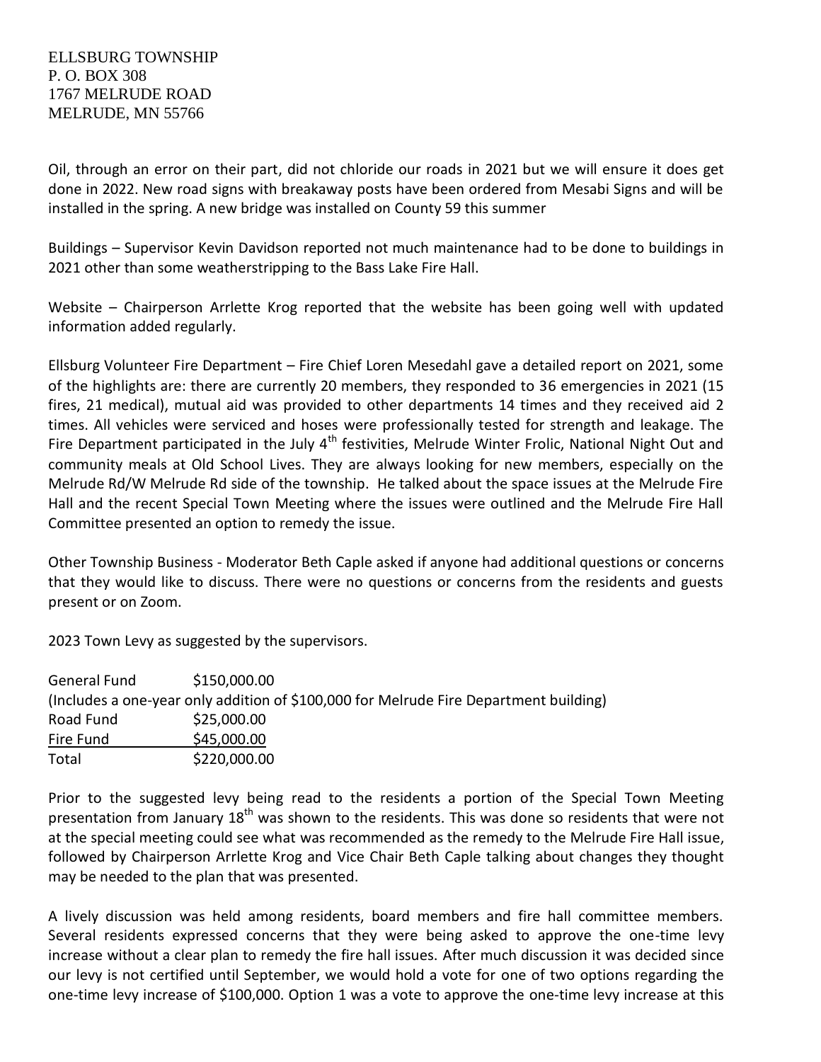## ELLSBURG TOWNSHIP P. O. BOX 308 1767 MELRUDE ROAD MELRUDE, MN 55766

Oil, through an error on their part, did not chloride our roads in 2021 but we will ensure it does get done in 2022. New road signs with breakaway posts have been ordered from Mesabi Signs and will be installed in the spring. A new bridge was installed on County 59 this summer

Buildings – Supervisor Kevin Davidson reported not much maintenance had to be done to buildings in 2021 other than some weatherstripping to the Bass Lake Fire Hall.

Website – Chairperson Arrlette Krog reported that the website has been going well with updated information added regularly.

Ellsburg Volunteer Fire Department – Fire Chief Loren Mesedahl gave a detailed report on 2021, some of the highlights are: there are currently 20 members, they responded to 36 emergencies in 2021 (15 fires, 21 medical), mutual aid was provided to other departments 14 times and they received aid 2 times. All vehicles were serviced and hoses were professionally tested for strength and leakage. The Fire Department participated in the July  $4<sup>th</sup>$  festivities, Melrude Winter Frolic, National Night Out and community meals at Old School Lives. They are always looking for new members, especially on the Melrude Rd/W Melrude Rd side of the township. He talked about the space issues at the Melrude Fire Hall and the recent Special Town Meeting where the issues were outlined and the Melrude Fire Hall Committee presented an option to remedy the issue.

Other Township Business - Moderator Beth Caple asked if anyone had additional questions or concerns that they would like to discuss. There were no questions or concerns from the residents and guests present or on Zoom.

2023 Town Levy as suggested by the supervisors.

| General Fund | \$150,000.00                                                                          |
|--------------|---------------------------------------------------------------------------------------|
|              | (Includes a one-year only addition of \$100,000 for Melrude Fire Department building) |
| Road Fund    | \$25,000.00                                                                           |
| Fire Fund    | \$45,000.00                                                                           |
| Total        | \$220,000.00                                                                          |

Prior to the suggested levy being read to the residents a portion of the Special Town Meeting presentation from January  $18<sup>th</sup>$  was shown to the residents. This was done so residents that were not at the special meeting could see what was recommended as the remedy to the Melrude Fire Hall issue, followed by Chairperson Arrlette Krog and Vice Chair Beth Caple talking about changes they thought may be needed to the plan that was presented.

A lively discussion was held among residents, board members and fire hall committee members. Several residents expressed concerns that they were being asked to approve the one-time levy increase without a clear plan to remedy the fire hall issues. After much discussion it was decided since our levy is not certified until September, we would hold a vote for one of two options regarding the one-time levy increase of \$100,000. Option 1 was a vote to approve the one-time levy increase at this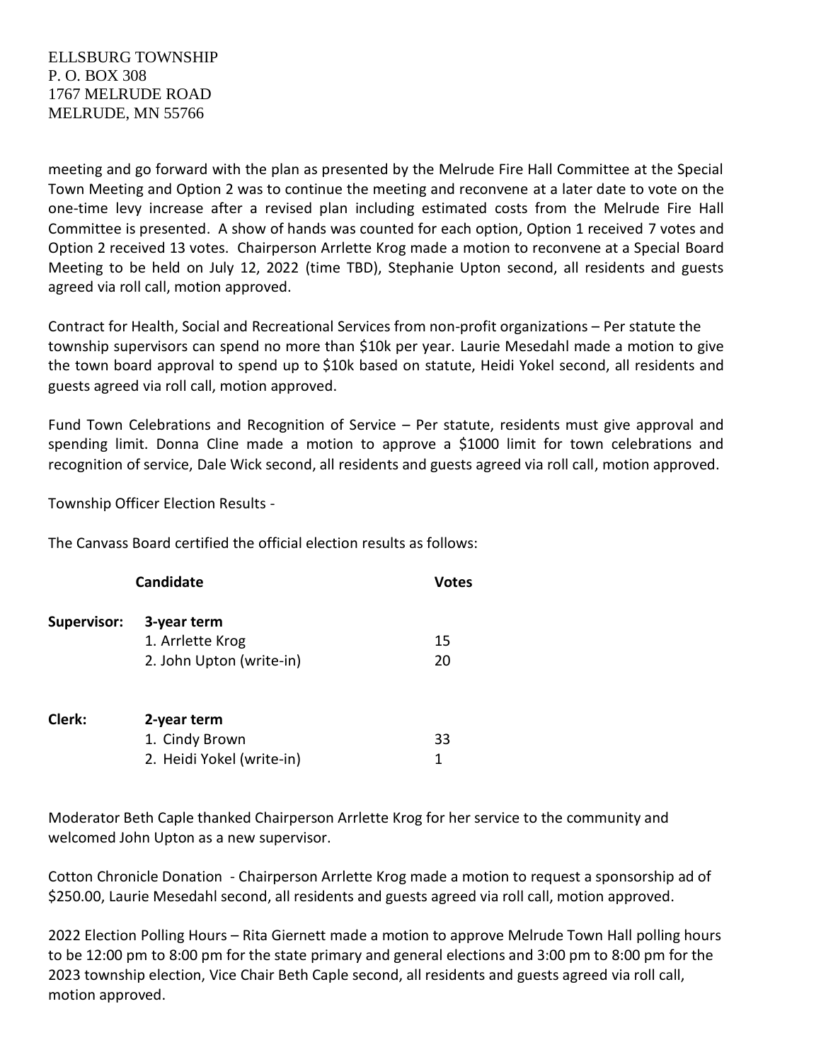meeting and go forward with the plan as presented by the Melrude Fire Hall Committee at the Special Town Meeting and Option 2 was to continue the meeting and reconvene at a later date to vote on the one-time levy increase after a revised plan including estimated costs from the Melrude Fire Hall Committee is presented. A show of hands was counted for each option, Option 1 received 7 votes and Option 2 received 13 votes. Chairperson Arrlette Krog made a motion to reconvene at a Special Board Meeting to be held on July 12, 2022 (time TBD), Stephanie Upton second, all residents and guests agreed via roll call, motion approved.

Contract for Health, Social and Recreational Services from non-profit organizations – Per statute the township supervisors can spend no more than \$10k per year. Laurie Mesedahl made a motion to give the town board approval to spend up to \$10k based on statute, Heidi Yokel second, all residents and guests agreed via roll call, motion approved.

Fund Town Celebrations and Recognition of Service – Per statute, residents must give approval and spending limit. Donna Cline made a motion to approve a \$1000 limit for town celebrations and recognition of service, Dale Wick second, all residents and guests agreed via roll call, motion approved.

Township Officer Election Results -

The Canvass Board certified the official election results as follows:

|             | Votes                     |    |  |
|-------------|---------------------------|----|--|
| Supervisor: | 3-year term               |    |  |
|             | 1. Arrlette Krog          | 15 |  |
|             | 2. John Upton (write-in)  | 20 |  |
| Clerk:      | 2-year term               |    |  |
|             | 1. Cindy Brown            | 33 |  |
|             | 2. Heidi Yokel (write-in) | 1  |  |

Moderator Beth Caple thanked Chairperson Arrlette Krog for her service to the community and welcomed John Upton as a new supervisor.

Cotton Chronicle Donation - Chairperson Arrlette Krog made a motion to request a sponsorship ad of \$250.00, Laurie Mesedahl second, all residents and guests agreed via roll call, motion approved.

2022 Election Polling Hours – Rita Giernett made a motion to approve Melrude Town Hall polling hours to be 12:00 pm to 8:00 pm for the state primary and general elections and 3:00 pm to 8:00 pm for the 2023 township election, Vice Chair Beth Caple second, all residents and guests agreed via roll call, motion approved.